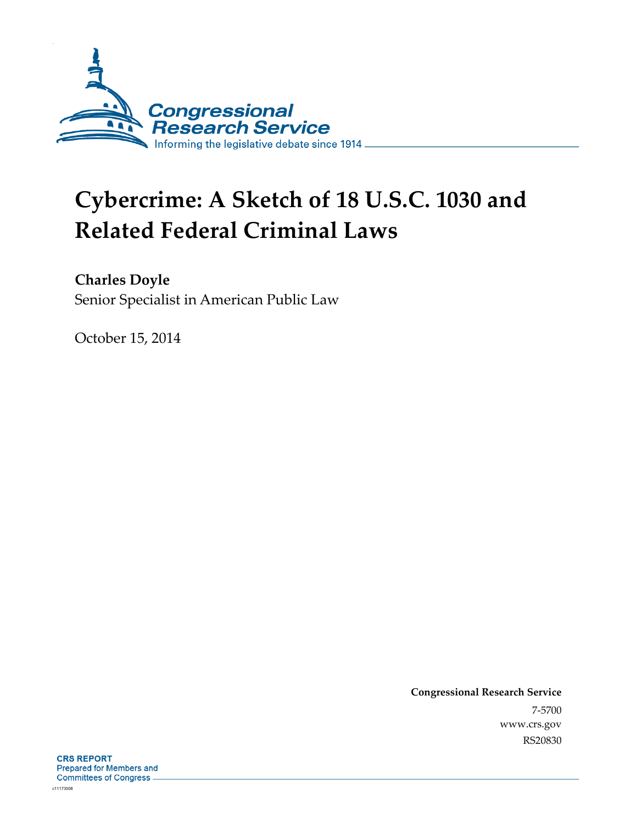

# **Cybercrime: A Sketch of 18 U.S.C. 1030 and Related Federal Criminal Laws**

**Charles Doyle** 

Senior Specialist in American Public Law

October 15, 2014

**Congressional Research Service**  7-5700 www.crs.gov RS20830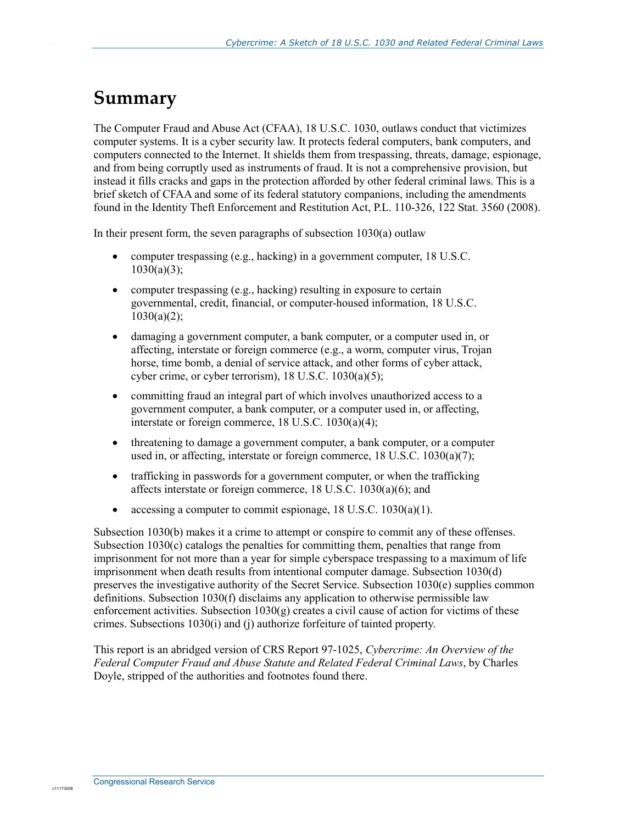#### **Summary**

.

The Computer Fraud and Abuse Act (CFAA), 18 U.S.C. 1030, outlaws conduct that victimizes computer systems. It is a cyber security law. It protects federal computers, bank computers, and computers connected to the Internet. It shields them from trespassing, threats, damage, espionage, and from being corruptly used as instruments of fraud. It is not a comprehensive provision, but instead it fills cracks and gaps in the protection afforded by other federal criminal laws. This is a brief sketch of CFAA and some of its federal statutory companions, including the amendments found in the Identity Theft Enforcement and Restitution Act, P.L. 110-326, 122 Stat. 3560 (2008).

In their present form, the seven paragraphs of subsection 1030(a) outlaw

- computer trespassing (e.g., hacking) in a government computer, 18 U.S.C.  $1030(a)(3);$
- computer trespassing (e.g., hacking) resulting in exposure to certain governmental, credit, financial, or computer-housed information, 18 U.S.C.  $1030(a)(2)$ ;
- damaging a government computer, a bank computer, or a computer used in, or affecting, interstate or foreign commerce (e.g., a worm, computer virus, Trojan horse, time bomb, a denial of service attack, and other forms of cyber attack, cyber crime, or cyber terrorism),  $18$  U.S.C.  $1030(a)(5)$ ;
- committing fraud an integral part of which involves unauthorized access to a government computer, a bank computer, or a computer used in, or affecting, interstate or foreign commerce, 18 U.S.C. 1030(a)(4);
- threatening to damage a government computer, a bank computer, or a computer used in, or affecting, interstate or foreign commerce, 18 U.S.C. 1030(a)(7);
- trafficking in passwords for a government computer, or when the trafficking affects interstate or foreign commerce, 18 U.S.C. 1030(a)(6); and
- accessing a computer to commit espionage, 18 U.S.C. 1030(a)(1).

Subsection 1030(b) makes it a crime to attempt or conspire to commit any of these offenses. Subsection  $1030(c)$  catalogs the penalties for committing them, penalties that range from imprisonment for not more than a year for simple cyberspace trespassing to a maximum of life imprisonment when death results from intentional computer damage. Subsection 1030(d) preserves the investigative authority of the Secret Service. Subsection 1030(e) supplies common definitions. Subsection 1030(f) disclaims any application to otherwise permissible law enforcement activities. Subsection  $1030(g)$  creates a civil cause of action for victims of these crimes. Subsections 1030(i) and (j) authorize forfeiture of tainted property.

This report is an abridged version of CRS Report 97-1025, *Cybercrime: An Overview of the Federal Computer Fraud and Abuse Statute and Related Federal Criminal Laws*, by Charles Doyle, stripped of the authorities and footnotes found there.

c11173008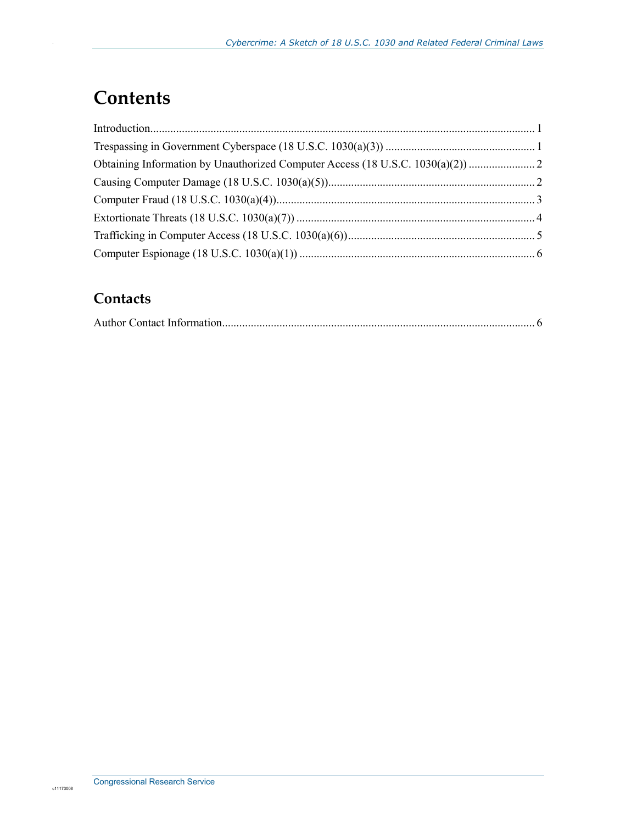# **Contents**

.

#### **Contacts**

|--|--|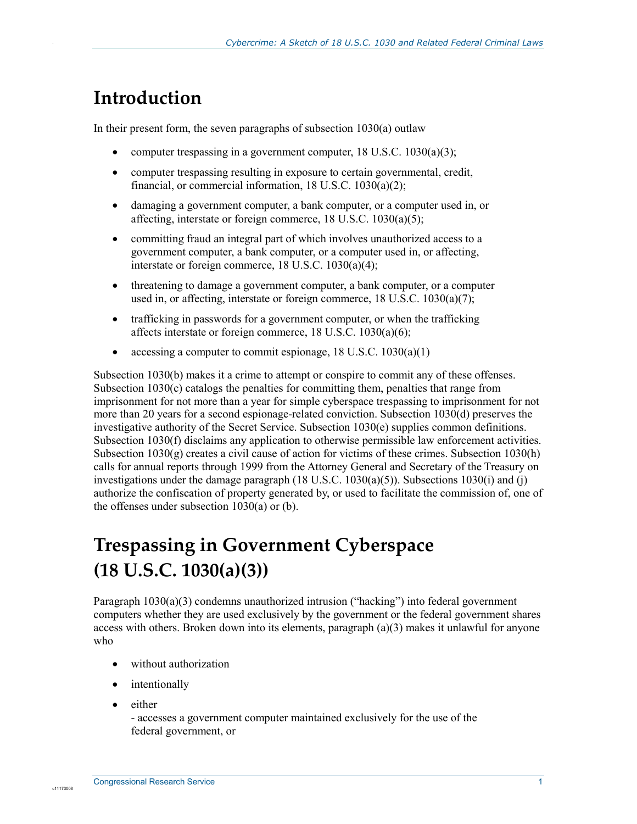### **Introduction**

.

In their present form, the seven paragraphs of subsection 1030(a) outlaw

- computer trespassing in a government computer,  $18 \text{ U.S.C. } 1030(a)(3)$ ;
- computer trespassing resulting in exposure to certain governmental, credit, financial, or commercial information, 18 U.S.C. 1030(a)(2);
- damaging a government computer, a bank computer, or a computer used in, or affecting, interstate or foreign commerce, 18 U.S.C. 1030(a)(5);
- committing fraud an integral part of which involves unauthorized access to a government computer, a bank computer, or a computer used in, or affecting, interstate or foreign commerce, 18 U.S.C. 1030(a)(4);
- threatening to damage a government computer, a bank computer, or a computer used in, or affecting, interstate or foreign commerce, 18 U.S.C. 1030(a)(7);
- trafficking in passwords for a government computer, or when the trafficking affects interstate or foreign commerce, 18 U.S.C. 1030(a)(6);
- accessing a computer to commit espionage, 18 U.S.C. 1030(a)(1)

Subsection 1030(b) makes it a crime to attempt or conspire to commit any of these offenses. Subsection  $1030(c)$  catalogs the penalties for committing them, penalties that range from imprisonment for not more than a year for simple cyberspace trespassing to imprisonment for not more than 20 years for a second espionage-related conviction. Subsection 1030(d) preserves the investigative authority of the Secret Service. Subsection 1030(e) supplies common definitions. Subsection 1030(f) disclaims any application to otherwise permissible law enforcement activities. Subsection  $1030(g)$  creates a civil cause of action for victims of these crimes. Subsection  $1030(h)$ calls for annual reports through 1999 from the Attorney General and Secretary of the Treasury on investigations under the damage paragraph  $(18 \text{ U.S.C. } 1030(a)(5))$ . Subsections  $1030(i)$  and (j) authorize the confiscation of property generated by, or used to facilitate the commission of, one of the offenses under subsection 1030(a) or (b).

# **Trespassing in Government Cyberspace (18 U.S.C. 1030(a)(3))**

Paragraph 1030(a)(3) condemns unauthorized intrusion ("hacking") into federal government computers whether they are used exclusively by the government or the federal government shares access with others. Broken down into its elements, paragraph  $(a)(3)$  makes it unlawful for anyone who

- without authorization
- intentionally
- either

- accesses a government computer maintained exclusively for the use of the federal government, or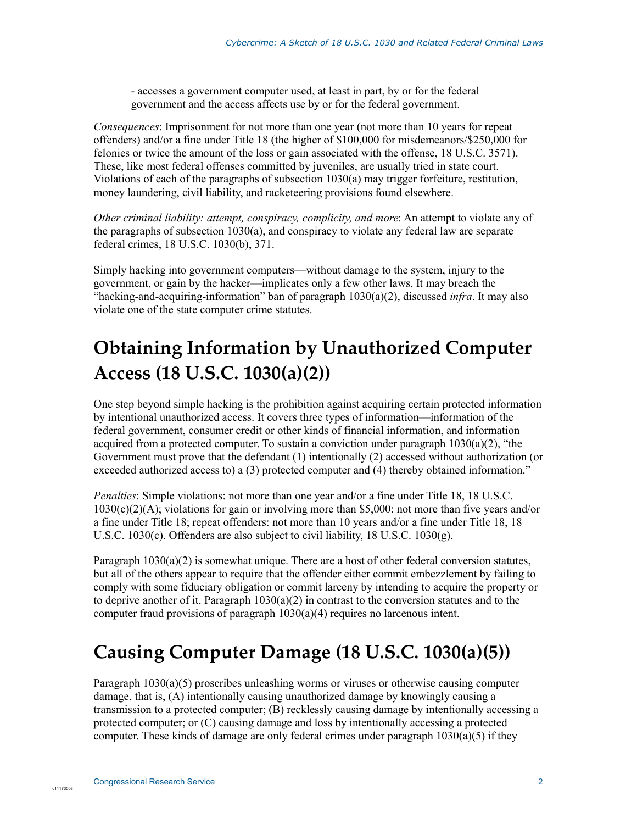- accesses a government computer used, at least in part, by or for the federal government and the access affects use by or for the federal government.

*Consequences*: Imprisonment for not more than one year (not more than 10 years for repeat offenders) and/or a fine under Title 18 (the higher of \$100,000 for misdemeanors/\$250,000 for felonies or twice the amount of the loss or gain associated with the offense, 18 U.S.C. 3571). These, like most federal offenses committed by juveniles, are usually tried in state court. Violations of each of the paragraphs of subsection 1030(a) may trigger forfeiture, restitution, money laundering, civil liability, and racketeering provisions found elsewhere.

*Other criminal liability: attempt, conspiracy, complicity, and more*: An attempt to violate any of the paragraphs of subsection 1030(a), and conspiracy to violate any federal law are separate federal crimes, 18 U.S.C. 1030(b), 371.

Simply hacking into government computers—without damage to the system, injury to the government, or gain by the hacker—implicates only a few other laws. It may breach the "hacking-and-acquiring-information" ban of paragraph 1030(a)(2), discussed *infra*. It may also violate one of the state computer crime statutes.

# **Obtaining Information by Unauthorized Computer Access (18 U.S.C. 1030(a)(2))**

One step beyond simple hacking is the prohibition against acquiring certain protected information by intentional unauthorized access. It covers three types of information—information of the federal government, consumer credit or other kinds of financial information, and information acquired from a protected computer. To sustain a conviction under paragraph  $1030(a)(2)$ , "the Government must prove that the defendant (1) intentionally (2) accessed without authorization (or exceeded authorized access to) a (3) protected computer and (4) thereby obtained information."

*Penalties*: Simple violations: not more than one year and/or a fine under Title 18, 18 U.S.C. 1030(c)(2)(A); violations for gain or involving more than \$5,000: not more than five years and/or a fine under Title 18; repeat offenders: not more than 10 years and/or a fine under Title 18, 18 U.S.C. 1030(c). Offenders are also subject to civil liability, 18 U.S.C. 1030(g).

Paragraph 1030(a)(2) is somewhat unique. There are a host of other federal conversion statutes, but all of the others appear to require that the offender either commit embezzlement by failing to comply with some fiduciary obligation or commit larceny by intending to acquire the property or to deprive another of it. Paragraph 1030(a)(2) in contrast to the conversion statutes and to the computer fraud provisions of paragraph 1030(a)(4) requires no larcenous intent.

### **Causing Computer Damage (18 U.S.C. 1030(a)(5))**

Paragraph 1030(a)(5) proscribes unleashing worms or viruses or otherwise causing computer damage, that is, (A) intentionally causing unauthorized damage by knowingly causing a transmission to a protected computer; (B) recklessly causing damage by intentionally accessing a protected computer; or (C) causing damage and loss by intentionally accessing a protected computer. These kinds of damage are only federal crimes under paragraph  $1030(a)(5)$  if they

c11173008

.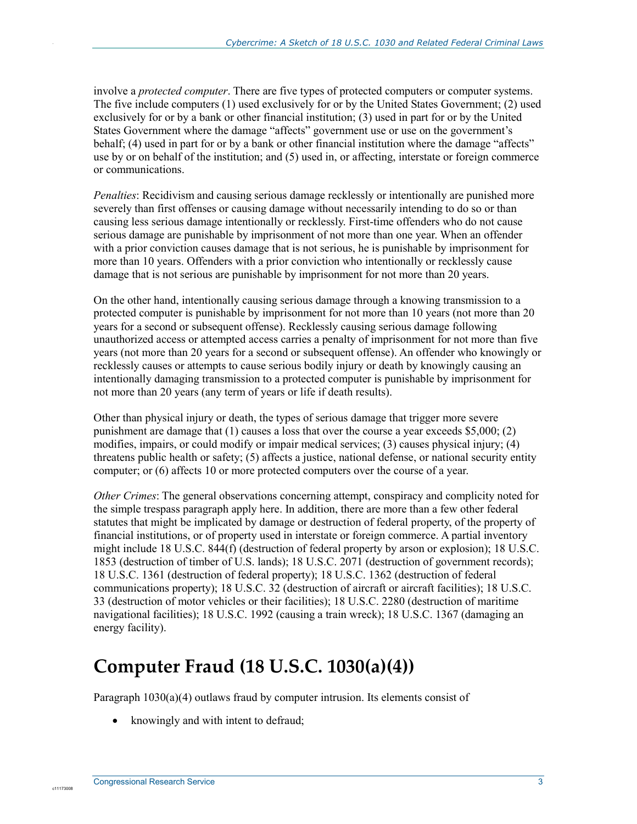involve a *protected computer*. There are five types of protected computers or computer systems. The five include computers (1) used exclusively for or by the United States Government; (2) used exclusively for or by a bank or other financial institution; (3) used in part for or by the United States Government where the damage "affects" government use or use on the government's behalf; (4) used in part for or by a bank or other financial institution where the damage "affects" use by or on behalf of the institution; and (5) used in, or affecting, interstate or foreign commerce or communications.

*Penalties*: Recidivism and causing serious damage recklessly or intentionally are punished more severely than first offenses or causing damage without necessarily intending to do so or than causing less serious damage intentionally or recklessly. First-time offenders who do not cause serious damage are punishable by imprisonment of not more than one year. When an offender with a prior conviction causes damage that is not serious, he is punishable by imprisonment for more than 10 years. Offenders with a prior conviction who intentionally or recklessly cause damage that is not serious are punishable by imprisonment for not more than 20 years.

On the other hand, intentionally causing serious damage through a knowing transmission to a protected computer is punishable by imprisonment for not more than 10 years (not more than 20 years for a second or subsequent offense). Recklessly causing serious damage following unauthorized access or attempted access carries a penalty of imprisonment for not more than five years (not more than 20 years for a second or subsequent offense). An offender who knowingly or recklessly causes or attempts to cause serious bodily injury or death by knowingly causing an intentionally damaging transmission to a protected computer is punishable by imprisonment for not more than 20 years (any term of years or life if death results).

Other than physical injury or death, the types of serious damage that trigger more severe punishment are damage that  $(1)$  causes a loss that over the course a year exceeds \$5,000; (2) modifies, impairs, or could modify or impair medical services; (3) causes physical injury; (4) threatens public health or safety; (5) affects a justice, national defense, or national security entity computer; or (6) affects 10 or more protected computers over the course of a year.

*Other Crimes*: The general observations concerning attempt, conspiracy and complicity noted for the simple trespass paragraph apply here. In addition, there are more than a few other federal statutes that might be implicated by damage or destruction of federal property, of the property of financial institutions, or of property used in interstate or foreign commerce. A partial inventory might include 18 U.S.C. 844(f) (destruction of federal property by arson or explosion); 18 U.S.C. 1853 (destruction of timber of U.S. lands); 18 U.S.C. 2071 (destruction of government records); 18 U.S.C. 1361 (destruction of federal property); 18 U.S.C. 1362 (destruction of federal communications property); 18 U.S.C. 32 (destruction of aircraft or aircraft facilities); 18 U.S.C. 33 (destruction of motor vehicles or their facilities); 18 U.S.C. 2280 (destruction of maritime navigational facilities); 18 U.S.C. 1992 (causing a train wreck); 18 U.S.C. 1367 (damaging an energy facility).

### **Computer Fraud (18 U.S.C. 1030(a)(4))**

Paragraph 1030(a)(4) outlaws fraud by computer intrusion. Its elements consist of

• knowingly and with intent to defraud;

c11173008

.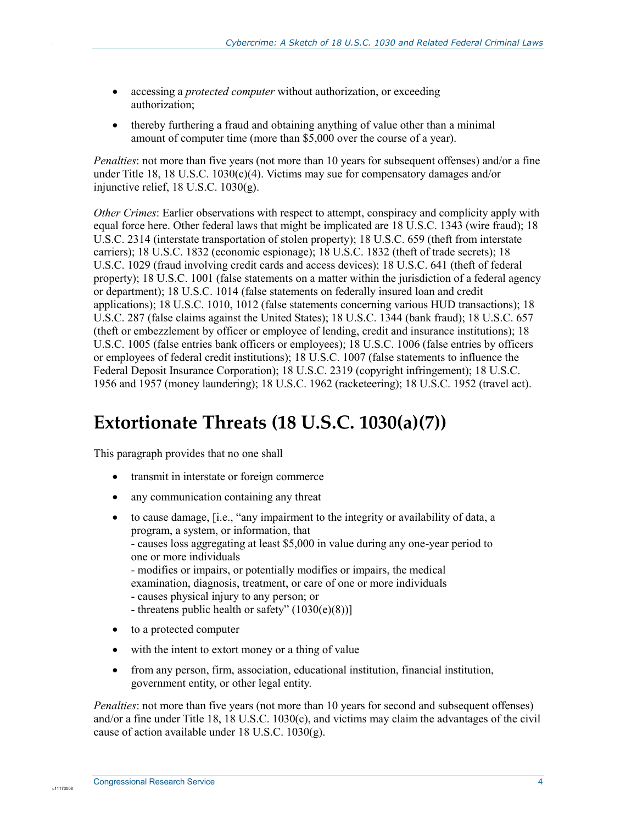- accessing a *protected computer* without authorization, or exceeding authorization;
- thereby furthering a fraud and obtaining anything of value other than a minimal amount of computer time (more than \$5,000 over the course of a year).

*Penalties*: not more than five years (not more than 10 years for subsequent offenses) and/or a fine under Title 18, 18 U.S.C.  $1030(c)(4)$ . Victims may sue for compensatory damages and/or injunctive relief, 18 U.S.C. 1030(g).

*Other Crimes*: Earlier observations with respect to attempt, conspiracy and complicity apply with equal force here. Other federal laws that might be implicated are 18 U.S.C. 1343 (wire fraud); 18 U.S.C. 2314 (interstate transportation of stolen property); 18 U.S.C. 659 (theft from interstate carriers); 18 U.S.C. 1832 (economic espionage); 18 U.S.C. 1832 (theft of trade secrets); 18 U.S.C. 1029 (fraud involving credit cards and access devices); 18 U.S.C. 641 (theft of federal property); 18 U.S.C. 1001 (false statements on a matter within the jurisdiction of a federal agency or department); 18 U.S.C. 1014 (false statements on federally insured loan and credit applications); 18 U.S.C. 1010, 1012 (false statements concerning various HUD transactions); 18 U.S.C. 287 (false claims against the United States); 18 U.S.C. 1344 (bank fraud); 18 U.S.C. 657 (theft or embezzlement by officer or employee of lending, credit and insurance institutions); 18 U.S.C. 1005 (false entries bank officers or employees); 18 U.S.C. 1006 (false entries by officers or employees of federal credit institutions); 18 U.S.C. 1007 (false statements to influence the Federal Deposit Insurance Corporation); 18 U.S.C. 2319 (copyright infringement); 18 U.S.C. 1956 and 1957 (money laundering); 18 U.S.C. 1962 (racketeering); 18 U.S.C. 1952 (travel act).

#### **Extortionate Threats (18 U.S.C. 1030(a)(7))**

This paragraph provides that no one shall

.

- transmit in interstate or foreign commerce
- any communication containing any threat
- to cause damage, [i.e., "any impairment to the integrity or availability of data, a program, a system, or information, that - causes loss aggregating at least \$5,000 in value during any one-year period to one or more individuals - modifies or impairs, or potentially modifies or impairs, the medical examination, diagnosis, treatment, or care of one or more individuals - causes physical injury to any person; or - threatens public health or safety" (1030(e)(8))]
- to a protected computer
- with the intent to extort money or a thing of value
- from any person, firm, association, educational institution, financial institution, government entity, or other legal entity.

*Penalties*: not more than five years (not more than 10 years for second and subsequent offenses) and/or a fine under Title 18, 18 U.S.C. 1030(c), and victims may claim the advantages of the civil cause of action available under 18 U.S.C. 1030(g).

c11173008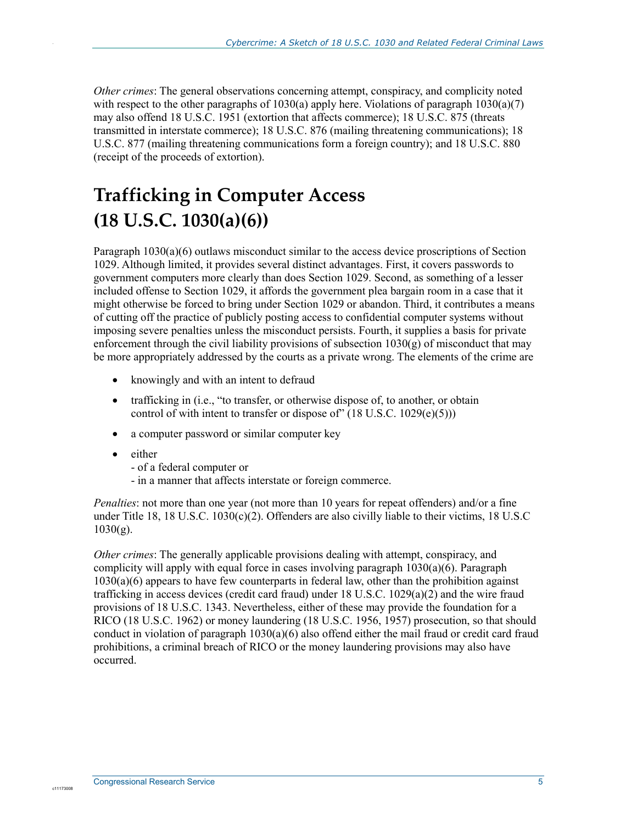*Other crimes*: The general observations concerning attempt, conspiracy, and complicity noted with respect to the other paragraphs of 1030(a) apply here. Violations of paragraph  $1030(a)(7)$ may also offend 18 U.S.C. 1951 (extortion that affects commerce); 18 U.S.C. 875 (threats transmitted in interstate commerce); 18 U.S.C. 876 (mailing threatening communications); 18 U.S.C. 877 (mailing threatening communications form a foreign country); and 18 U.S.C. 880 (receipt of the proceeds of extortion).

# **Trafficking in Computer Access (18 U.S.C. 1030(a)(6))**

Paragraph 1030(a)(6) outlaws misconduct similar to the access device proscriptions of Section 1029. Although limited, it provides several distinct advantages. First, it covers passwords to government computers more clearly than does Section 1029. Second, as something of a lesser included offense to Section 1029, it affords the government plea bargain room in a case that it might otherwise be forced to bring under Section 1029 or abandon. Third, it contributes a means of cutting off the practice of publicly posting access to confidential computer systems without imposing severe penalties unless the misconduct persists. Fourth, it supplies a basis for private enforcement through the civil liability provisions of subsection  $1030(g)$  of misconduct that may be more appropriately addressed by the courts as a private wrong. The elements of the crime are

- knowingly and with an intent to defraud
- trafficking in (i.e., "to transfer, or otherwise dispose of, to another, or obtain control of with intent to transfer or dispose of"  $(18$  U.S.C.  $1029(e)(5))$ )
- a computer password or similar computer key
- either

.

- of a federal computer or
- in a manner that affects interstate or foreign commerce.

*Penalties*: not more than one year (not more than 10 years for repeat offenders) and/or a fine under Title 18, 18 U.S.C. 1030(c)(2). Offenders are also civilly liable to their victims, 18 U.S.C  $1030(g)$ .

*Other crimes*: The generally applicable provisions dealing with attempt, conspiracy, and complicity will apply with equal force in cases involving paragraph 1030(a)(6). Paragraph  $1030(a)(6)$  appears to have few counterparts in federal law, other than the prohibition against trafficking in access devices (credit card fraud) under 18 U.S.C. 1029(a)(2) and the wire fraud provisions of 18 U.S.C. 1343. Nevertheless, either of these may provide the foundation for a RICO (18 U.S.C. 1962) or money laundering (18 U.S.C. 1956, 1957) prosecution, so that should conduct in violation of paragraph  $1030(a)(6)$  also offend either the mail fraud or credit card fraud prohibitions, a criminal breach of RICO or the money laundering provisions may also have occurred.

c11173008